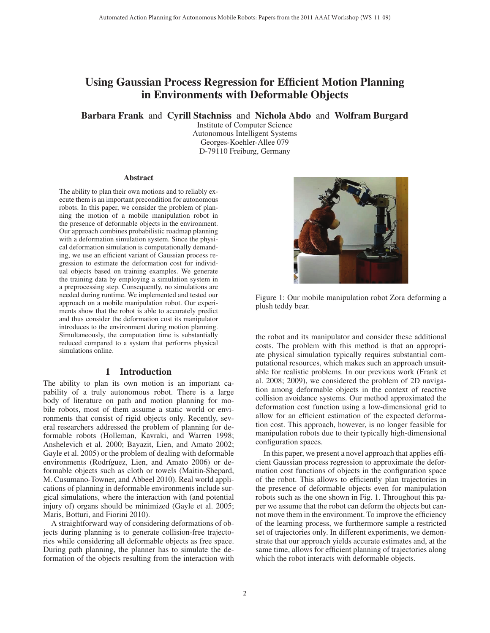# Using Gaussian Process Regression for Efficient Motion Planning in Environments with Deformable Objects

Barbara Frank and Cyrill Stachniss and Nichola Abdo and Wolfram Burgard

Institute of Computer Science Autonomous Intelligent Systems Georges-Koehler-Allee 079 D-79110 Freiburg, Germany

#### **Abstract**

The ability to plan their own motions and to reliably execute them is an important precondition for autonomous robots. In this paper, we consider the problem of planning the motion of a mobile manipulation robot in the presence of deformable objects in the environment. Our approach combines probabilistic roadmap planning with a deformation simulation system. Since the physical deformation simulation is computationally demanding, we use an efficient variant of Gaussian process regression to estimate the deformation cost for individual objects based on training examples. We generate the training data by employing a simulation system in a preprocessing step. Consequently, no simulations are needed during runtime. We implemented and tested our approach on a mobile manipulation robot. Our experiments show that the robot is able to accurately predict and thus consider the deformation cost its manipulator introduces to the environment during motion planning. Simultaneously, the computation time is substantially reduced compared to a system that performs physical simulations online.

#### 1 Introduction

The ability to plan its own motion is an important capability of a truly autonomous robot. There is a large body of literature on path and motion planning for mobile robots, most of them assume a static world or environments that consist of rigid objects only. Recently, several researchers addressed the problem of planning for deformable robots (Holleman, Kavraki, and Warren 1998; Anshelevich et al. 2000; Bayazit, Lien, and Amato 2002; Gayle et al. 2005) or the problem of dealing with deformable environments (Rodríguez, Lien, and Amato 2006) or deformable objects such as cloth or towels (Maitin-Shepard, M. Cusumano-Towner, and Abbeel 2010). Real world applications of planning in deformable environments include surgical simulations, where the interaction with (and potential injury of) organs should be minimized (Gayle et al. 2005; Maris, Botturi, and Fiorini 2010).

A straightforward way of considering deformations of objects during planning is to generate collision-free trajectories while considering all deformable objects as free space. During path planning, the planner has to simulate the deformation of the objects resulting from the interaction with



Figure 1: Our mobile manipulation robot Zora deforming a plush teddy bear.

the robot and its manipulator and consider these additional costs. The problem with this method is that an appropriate physical simulation typically requires substantial computational resources, which makes such an approach unsuitable for realistic problems. In our previous work (Frank et al. 2008; 2009), we considered the problem of 2D navigation among deformable objects in the context of reactive collision avoidance systems. Our method approximated the deformation cost function using a low-dimensional grid to allow for an efficient estimation of the expected deformation cost. This approach, however, is no longer feasible for manipulation robots due to their typically high-dimensional configuration spaces.

In this paper, we present a novel approach that applies efficient Gaussian process regression to approximate the deformation cost functions of objects in the configuration space of the robot. This allows to efficiently plan trajectories in the presence of deformable objects even for manipulation robots such as the one shown in Fig. 1. Throughout this paper we assume that the robot can deform the objects but cannot move them in the environment. To improve the efficiency of the learning process, we furthermore sample a restricted set of trajectories only. In different experiments, we demonstrate that our approach yields accurate estimates and, at the same time, allows for efficient planning of trajectories along which the robot interacts with deformable objects.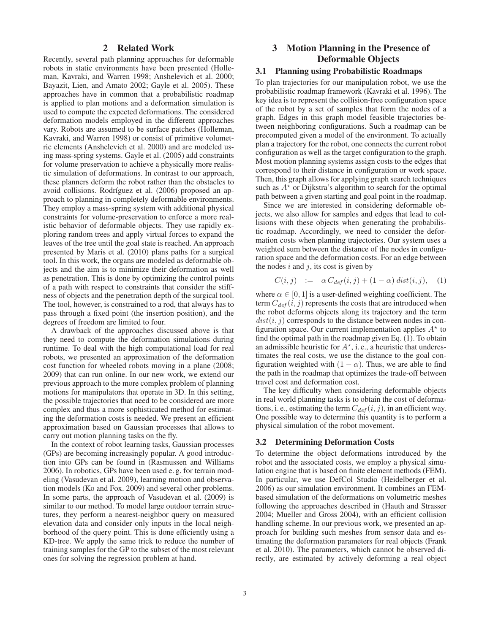## 2 Related Work

Recently, several path planning approaches for deformable robots in static environments have been presented (Holleman, Kavraki, and Warren 1998; Anshelevich et al. 2000; Bayazit, Lien, and Amato 2002; Gayle et al. 2005). These approaches have in common that a probabilistic roadmap is applied to plan motions and a deformation simulation is used to compute the expected deformations. The considered deformation models employed in the different approaches vary. Robots are assumed to be surface patches (Holleman, Kavraki, and Warren 1998) or consist of primitive volumetric elements (Anshelevich et al. 2000) and are modeled using mass-spring systems. Gayle et al. (2005) add constraints for volume preservation to achieve a physically more realistic simulation of deformations. In contrast to our approach, these planners deform the robot rather than the obstacles to avoid collisions. Rodríguez et al. (2006) proposed an approach to planning in completely deformable environments. They employ a mass-spring system with additional physical constraints for volume-preservation to enforce a more realistic behavior of deformable objects. They use rapidly exploring random trees and apply virtual forces to expand the leaves of the tree until the goal state is reached. An approach presented by Maris et al. (2010) plans paths for a surgical tool. In this work, the organs are modeled as deformable objects and the aim is to minimize their deformation as well as penetration. This is done by optimizing the control points of a path with respect to constraints that consider the stiffness of objects and the penetration depth of the surgical tool. The tool, however, is constrained to a rod, that always has to pass through a fixed point (the insertion position), and the degrees of freedom are limited to four.

A drawback of the approaches discussed above is that they need to compute the deformation simulations during runtime. To deal with the high computational load for real robots, we presented an approximation of the deformation cost function for wheeled robots moving in a plane (2008; 2009) that can run online. In our new work, we extend our previous approach to the more complex problem of planning motions for manipulators that operate in 3D. In this setting, the possible trajectories that need to be considered are more complex and thus a more sophisticated method for estimating the deformation costs is needed. We present an efficient approximation based on Gaussian processes that allows to carry out motion planning tasks on the fly.

In the context of robot learning tasks, Gaussian processes (GPs) are becoming increasingly popular. A good introduction into GPs can be found in (Rasmussen and Williams 2006). In robotics, GPs have been used e. g. for terrain modeling (Vasudevan et al. 2009), learning motion and observation models (Ko and Fox. 2009) and several other problems. In some parts, the approach of Vasudevan et al. (2009) is similar to our method. To model large outdoor terrain structures, they perform a nearest-neighbor query on measured elevation data and consider only inputs in the local neighborhood of the query point. This is done efficiently using a KD-tree. We apply the same trick to reduce the number of training samples for the GP to the subset of the most relevant ones for solving the regression problem at hand.

## 3 Motion Planning in the Presence of Deformable Objects

#### 3.1 Planning using Probabilistic Roadmaps

To plan trajectories for our manipulation robot, we use the probabilistic roadmap framework (Kavraki et al. 1996). The key idea is to represent the collision-free configuration space of the robot by a set of samples that form the nodes of a graph. Edges in this graph model feasible trajectories between neighboring configurations. Such a roadmap can be precomputed given a model of the environment. To actually plan a trajectory for the robot, one connects the current robot configuration as well as the target configuration to the graph. Most motion planning systems assign costs to the edges that correspond to their distance in configuration or work space. Then, this graph allows for applying graph search techniques such as  $A^*$  or Dijkstra's algorithm to search for the optimal path between a given starting and goal point in the roadmap.

Since we are interested in considering deformable objects, we also allow for samples and edges that lead to collisions with these objects when generating the probabilistic roadmap. Accordingly, we need to consider the deformation costs when planning trajectories. Our system uses a weighted sum between the distance of the nodes in configuration space and the deformation costs. For an edge between the nodes  $i$  and  $j$ , its cost is given by

$$
C(i,j) := \alpha C_{def}(i,j) + (1-\alpha) dist(i,j), \quad (1)
$$

where  $\alpha \in [0, 1]$  is a user-defined weighting coefficient. The term  $C_{def}(i, j)$  represents the costs that are introduced when the robot deforms objects along its trajectory and the term  $dist(i, j)$  corresponds to the distance between nodes in configuration space. Our current implementation applies  $A^*$  to find the optimal path in the roadmap given Eq. (1). To obtain an admissible heuristic for  $A^*$ , i. e., a heuristic that underestimates the real costs, we use the distance to the goal configuration weighted with  $(1 - \alpha)$ . Thus, we are able to find the path in the roadmap that optimizes the trade-off between travel cost and deformation cost.

The key difficulty when considering deformable objects in real world planning tasks is to obtain the cost of deformations, i. e., estimating the term  $C_{def}(i, j)$ , in an efficient way. One possible way to determine this quantity is to perform a physical simulation of the robot movement.

#### 3.2 Determining Deformation Costs

To determine the object deformations introduced by the robot and the associated costs, we employ a physical simulation engine that is based on finite element methods (FEM). In particular, we use DefCol Studio (Heidelberger et al. 2006) as our simulation environment. It combines an FEMbased simulation of the deformations on volumetric meshes following the approaches described in (Hauth and Strasser 2004; Mueller and Gross 2004), with an efficient collision handling scheme. In our previous work, we presented an approach for building such meshes from sensor data and estimating the deformation parameters for real objects (Frank et al. 2010). The parameters, which cannot be observed directly, are estimated by actively deforming a real object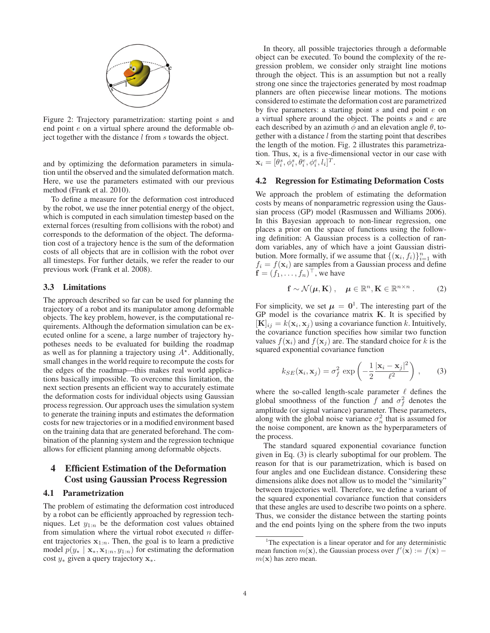

Figure 2: Trajectory parametrization: starting point s and end point e on a virtual sphere around the deformable object together with the distance  $l$  from  $s$  towards the object.

and by optimizing the deformation parameters in simulation until the observed and the simulated deformation match. Here, we use the parameters estimated with our previous method (Frank et al. 2010).

To define a measure for the deformation cost introduced by the robot, we use the inner potential energy of the object, which is computed in each simulation timestep based on the external forces (resulting from collisions with the robot) and corresponds to the deformation of the object. The deformation cost of a trajectory hence is the sum of the deformation costs of all objects that are in collision with the robot over all timesteps. For further details, we refer the reader to our previous work (Frank et al. 2008).

#### 3.3 Limitations

The approach described so far can be used for planning the trajectory of a robot and its manipulator among deformable objects. The key problem, however, is the computational requirements. Although the deformation simulation can be executed online for a scene, a large number of trajectory hypotheses needs to be evaluated for building the roadmap as well as for planning a trajectory using  $A^*$ . Additionally, small changes in the world require to recompute the costs for the edges of the roadmap—this makes real world applications basically impossible. To overcome this limitation, the next section presents an efficient way to accurately estimate the deformation costs for individual objects using Gaussian process regression. Our approach uses the simulation system to generate the training inputs and estimates the deformation costs for new trajectories or in a modified environment based on the training data that are generated beforehand. The combination of the planning system and the regression technique allows for efficient planning among deformable objects.

## 4 Efficient Estimation of the Deformation Cost using Gaussian Process Regression

#### 4.1 Parametrization

The problem of estimating the deformation cost introduced by a robot can be efficiently approached by regression techniques. Let  $y_{1:n}$  be the deformation cost values obtained from simulation where the virtual robot executed  $n$  different trajectories  $x_{1:n}$ . Then, the goal is to learn a predictive model  $p(y_* | \mathbf{x}_*, \mathbf{x}_{1:n}, y_{1:n})$  for estimating the deformation cost <sup>y</sup><sup>∗</sup> given a query trajectory **<sup>x</sup>**∗.

In theory, all possible trajectories through a deformable object can be executed. To bound the complexity of the regression problem, we consider only straight line motions through the object. This is an assumption but not a really strong one since the trajectories generated by most roadmap planners are often piecewise linear motions. The motions considered to estimate the deformation cost are parametrized by five parameters: a starting point  $s$  and end point  $e$  on a virtual sphere around the object. The points  $s$  and  $e$  are each described by an azimuth  $\phi$  and an elevation angle  $\theta$ , together with a distance  $l$  from the starting point that describes the length of the motion. Fig. 2 illustrates this parametrization. Thus,  $x_i$  is a five-dimensional vector in our case with  $\mathbf{x}_i = [\theta_i^s, \phi_i^s, \theta_i^e, \phi_i^e, l_i]^T.$ 

#### 4.2 Regression for Estimating Deformation Costs

We approach the problem of estimating the deformation costs by means of nonparametric regression using the Gaussian process (GP) model (Rasmussen and Williams 2006). In this Bayesian approach to non-linear regression, one places a prior on the space of functions using the following definition: A Gaussian process is a collection of random variables, any of which have a joint Gaussian distribution. More formally, if we assume that  $\{(x_i, f_i)\}_{i=1}^n$  with  $f_i = f(x_i)$  are samples from a Gaussian process and define  $f_i = f(\mathbf{x}_i)$  are samples from a Gaussian process and define  $\mathbf{f} = (f_1, \dots, f_n)^\top$ , we have

$$
\mathbf{f} \sim \mathcal{N}(\boldsymbol{\mu}, \mathbf{K}), \quad \boldsymbol{\mu} \in \mathbb{R}^n, \mathbf{K} \in \mathbb{R}^{n \times n}.
$$
 (2)

For simplicity, we set  $\mu = 0^1$ . The interesting part of the GP model is the covariance matrix **K**. It is specified by  $[K]_{ij} = k(\mathbf{x}_i, \mathbf{x}_j)$  using a covariance function k. Intuitively, the covariance function specifies how similar two function values  $f(\mathbf{x}_i)$  and  $f(\mathbf{x}_j)$  are. The standard choice for k is the squared exponential covariance function

$$
k_{SE}(\mathbf{x}_i, \mathbf{x}_j) = \sigma_f^2 \exp\left(-\frac{1}{2}\frac{|\mathbf{x}_i - \mathbf{x}_j|^2}{\ell^2}\right),\qquad(3)
$$

where the so-called length-scale parameter  $\ell$  defines the global smoothness of the function f and  $\sigma_f^2$  denotes the amplitude (or signal variance) parameter. These parameters, along with the global noise variance  $\sigma_n^2$  that is assumed for the noise component, are known as the hyperparameters of the process.

The standard squared exponential covariance function given in Eq. (3) is clearly suboptimal for our problem. The reason for that is our parametrization, which is based on four angles and one Euclidean distance. Considering these dimensions alike does not allow us to model the "similarity" between trajectories well. Therefore, we define a variant of the squared exponential covariance function that considers that these angles are used to describe two points on a sphere. Thus, we consider the distance between the starting points and the end points lying on the sphere from the two inputs

<sup>&</sup>lt;sup>1</sup>The expectation is a linear operator and for any deterministic mean function  $m(\mathbf{x})$ , the Gaussian process over  $f'(\mathbf{x}) := f(\mathbf{x})$  $m(\mathbf{x})$  has zero mean.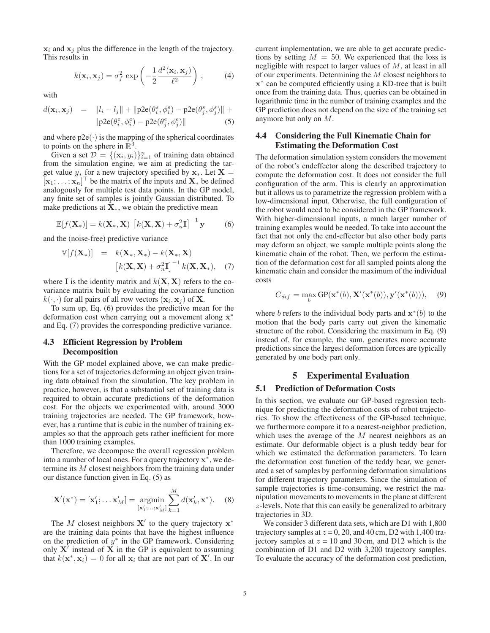$x_i$  and  $x_j$  plus the difference in the length of the trajectory. This results in

$$
k(\mathbf{x}_i, \mathbf{x}_j) = \sigma_f^2 \exp\left(-\frac{1}{2} \frac{d^2(\mathbf{x}_i, \mathbf{x}_j)}{\ell^2}\right), \quad (4)
$$

with

$$
d(\mathbf{x}_i, \mathbf{x}_j) = ||l_i - l_j|| + ||p2e(\theta_i^s, \phi_i^s) - p2e(\theta_j^s, \phi_j^s)|| + ||p2e(\theta_i^e, \phi_i^e) - p2e(\theta_j^e, \phi_j^e)||
$$
(5)

and where  $p2e(\cdot)$  is the mapping of the spherical coordinates to points on the sphere in  $\mathbb{R}^3$ .

Given a set  $\mathcal{D} = \{(\mathbf{x}_i, y_i)\}_{i=1}^n$  of training data obtained<br>on the simulation engine we aim at predicting the tarfrom the simulation engine, we aim at predicting the target value  $y^*$  for a new trajectory specified by  $\mathbf{x}_*$ . Let  $\mathbf{X} = [\mathbf{x}_1 \mathbf{x}_1]^\top$  be the matrix of the inputs and  $\mathbf{X}$ , be defined  $[\mathbf{x}_1; \dots; \mathbf{x}_n]^\top$  be the matrix of the inputs and  $\mathbf{X}_*$  be defined analogously for multiple test data points. In the GP model analogously for multiple test data points. In the GP model, any finite set of samples is jointly Gaussian distributed. To make predictions at  $X_*$ , we obtain the predictive mean

$$
\mathbb{E}[f(\mathbf{X}_{*})] = k(\mathbf{X}_{*}, \mathbf{X}) \left[k(\mathbf{X}, \mathbf{X}) + \sigma_{n}^{2} \mathbf{I}\right]^{-1} \mathbf{y} \tag{6}
$$

and the (noise-free) predictive variance

$$
\mathbb{V}[f(\mathbf{X}_{*})] = k(\mathbf{X}_{*}, \mathbf{X}_{*}) - k(\mathbf{X}_{*}, \mathbf{X})
$$

$$
[k(\mathbf{X}, \mathbf{X}) + \sigma_{n}^{2} \mathbf{I}]^{-1} k(\mathbf{X}, \mathbf{X}_{*}), \quad (7)
$$

where **I** is the identity matrix and  $k(\mathbf{X}, \mathbf{X})$  refers to the covariance matrix built by evaluating the covariance function  $k(\cdot, \cdot)$  for all pairs of all row vectors  $(\mathbf{x}_i, \mathbf{x}_j)$  of **X**.

To sum up, Eq. (6) provides the predictive mean for the deformation cost when carrying out a movement along **x**<sup>∗</sup> and Eq. (7) provides the corresponding predictive variance.

## 4.3 Efficient Regression by Problem **Decomposition**

With the GP model explained above, we can make predictions for a set of trajectories deforming an object given training data obtained from the simulation. The key problem in practice, however, is that a substantial set of training data is required to obtain accurate predictions of the deformation cost. For the objects we experimented with, around 3000 training trajectories are needed. The GP framework, however, has a runtime that is cubic in the number of training examples so that the approach gets rather inefficient for more than 1000 training examples.

Therefore, we decompose the overall regression problem into a number of local ones. For a query trajectory **x**∗, we determine its M closest neighbors from the training data under our distance function given in Eq. (5) as

$$
\mathbf{X}'(\mathbf{x}^*) = [\mathbf{x}'_1; \dots; \mathbf{x}'_M] = \operatorname*{argmin}_{\left[\mathbf{x}'_1; \dots; \mathbf{x}'_M\right]} \sum_{k=1}^M d(\mathbf{x}'_k, \mathbf{x}^*). \tag{8}
$$

The M closest neighbors  $X'$  to the query trajectory  $x^*$ are the training data points that have the highest influence on the prediction of  $y^*$  in the GP framework. Considering only  $X'$  instead of  $X$  in the GP is equivalent to assuming that  $k(\mathbf{x}^*, \mathbf{x}_i) = 0$  for all  $\mathbf{x}_i$  that are not part of **X**'. In our

current implementation, we are able to get accurate predictions by setting  $M = 50$ . We experienced that the loss is negligible with respect to larger values of M, at least in all of our experiments. Determining the M closest neighbors to **x**<sup>∗</sup> can be computed efficiently using a KD-tree that is built once from the training data. Thus, queries can be obtained in logarithmic time in the number of training examples and the GP prediction does not depend on the size of the training set anymore but only on M.

## 4.4 Considering the Full Kinematic Chain for Estimating the Deformation Cost

The deformation simulation system considers the movement of the robot's endeffector along the described trajectory to compute the deformation cost. It does not consider the full configuration of the arm. This is clearly an approximation but it allows us to parametrize the regression problem with a low-dimensional input. Otherwise, the full configuration of the robot would need to be considered in the GP framework. With higher-dimensional inputs, a much larger number of training examples would be needed. To take into account the fact that not only the end-effector but also other body parts may deform an object, we sample multiple points along the kinematic chain of the robot. Then, we perform the estimation of the deformation cost for all sampled points along the kinematic chain and consider the maximum of the individual costs

$$
C_{def} = \max_{b} \text{GP}(\mathbf{x}^*(b), \mathbf{X}'(\mathbf{x}^*(b)), \mathbf{y}'(\mathbf{x}^*(b))), \quad (9)
$$

where b refers to the individual body parts and  $\mathbf{x}^*(b)$  to the motion that the body parts carry out given the kinematic structure of the robot. Considering the maximum in Eq. (9) instead of, for example, the sum, generates more accurate predictions since the largest deformation forces are typically generated by one body part only.

### 5 Experimental Evaluation

## 5.1 Prediction of Deformation Costs

In this section, we evaluate our GP-based regression technique for predicting the deformation costs of robot trajectories. To show the effectiveness of the GP-based technique, we furthermore compare it to a nearest-neighbor prediction, which uses the average of the  $M$  nearest neighbors as an estimate. Our deformable object is a plush teddy bear for which we estimated the deformation parameters. To learn the deformation cost function of the teddy bear, we generated a set of samples by performing deformation simulations for different trajectory parameters. Since the simulation of sample trajectories is time-consuming, we restrict the manipulation movements to movements in the plane at different z-levels. Note that this can easily be generalized to arbitrary trajectories in 3D.

We consider 3 different data sets, which are D1 with 1,800 trajectory samples at  $z = 0$ , 20, and 40 cm, D2 with 1,400 trajectory samples at  $z = 10$  and 30 cm, and D12 which is the combination of D1 and D2 with 3,200 trajectory samples. To evaluate the accuracy of the deformation cost prediction,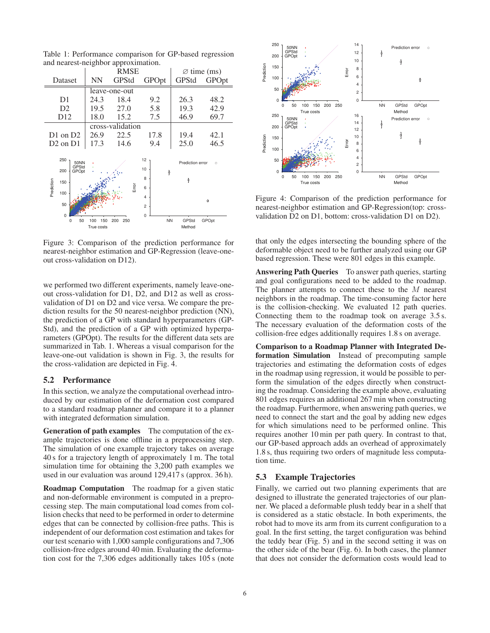RMSE  $\Box$   $\Box$  time (ms) Dataset | NN GPStd GPOpt | GPStd GPOpt leave-one-out D1 | 24.3 18.4 9.2 | 26.3 48.2 D2 19.5 27.0 5.8 19.3 42.9 D12 18.0 15.2 7.5 46.9 69.7 cross-validation D1 on D2  $\begin{array}{|l} 26.9 \quad 22.5 \quad 17.8 \quad | \quad 19.4 \quad 42.1 \end{array}$ D2 on D1 | 17.3 14.6 9.4 | 25.0 46.5 250 12 50NN Prediction error  $\epsilon$ GPStd 10 200 GPOpt 8 Prediction Prediction 150 Error 6 100 4 50 2  $\overline{0}$  0 NN GPStd GPOpt 0 50 100 150 200 250 True costs Method

Table 1: Performance comparison for GP-based regression and nearest-neighbor approximation.

Figure 3: Comparison of the prediction performance for nearest-neighbor estimation and GP-Regression (leave-oneout cross-validation on D12).

we performed two different experiments, namely leave-oneout cross-validation for D1, D2, and D12 as well as crossvalidation of D1 on D2 and vice versa. We compare the prediction results for the 50 nearest-neighbor prediction (NN), the prediction of a GP with standard hyperparameters (GP-Std), and the prediction of a GP with optimized hyperparameters (GPOpt). The results for the different data sets are summarized in Tab. 1. Whereas a visual comparison for the leave-one-out validation is shown in Fig. 3, the results for the cross-validation are depicted in Fig. 4.

#### 5.2 Performance

In this section, we analyze the computational overhead introduced by our estimation of the deformation cost compared to a standard roadmap planner and compare it to a planner with integrated deformation simulation.

Generation of path examples The computation of the example trajectories is done offline in a preprocessing step. The simulation of one example trajectory takes on average 40 s for a trajectory length of approximately 1 m. The total simulation time for obtaining the 3,200 path examples we used in our evaluation was around 129,417 s (approx. 36 h).

Roadmap Computation The roadmap for a given static and non-deformable environment is computed in a preprocessing step. The main computational load comes from collision checks that need to be performed in order to determine edges that can be connected by collision-free paths. This is independent of our deformation cost estimation and takes for our test scenario with 1,000 sample configurations and 7,306 collision-free edges around 40 min. Evaluating the deformation cost for the 7,306 edges additionally takes 105 s (note



Figure 4: Comparison of the prediction performance for nearest-neighbor estimation and GP-Regression(top: crossvalidation D2 on D1, bottom: cross-validation D1 on D2).

that only the edges intersecting the bounding sphere of the deformable object need to be further analyzed using our GP based regression. These were 801 edges in this example.

Answering Path Queries To answer path queries, starting and goal configurations need to be added to the roadmap. The planner attempts to connect these to the M nearest neighbors in the roadmap. The time-consuming factor here is the collision-checking. We evaluated 12 path queries. Connecting them to the roadmap took on average 3.5 s. The necessary evaluation of the deformation costs of the collision-free edges additionally requires 1.8 s on average.

Comparison to a Roadmap Planner with Integrated Deformation Simulation Instead of precomputing sample trajectories and estimating the deformation costs of edges in the roadmap using regression, it would be possible to perform the simulation of the edges directly when constructing the roadmap. Considering the example above, evaluating 801 edges requires an additional 267 min when constructing the roadmap. Furthermore, when answering path queries, we need to connect the start and the goal by adding new edges for which simulations need to be performed online. This requires another 10 min per path query. In contrast to that, our GP-based approach adds an overhead of approximately 1.8 s, thus requiring two orders of magnitude less computation time.

#### 5.3 Example Trajectories

Finally, we carried out two planning experiments that are designed to illustrate the generated trajectories of our planner. We placed a deformable plush teddy bear in a shelf that is considered as a static obstacle. In both experiments, the robot had to move its arm from its current configuration to a goal. In the first setting, the target configuration was behind the teddy bear (Fig. 5) and in the second setting it was on the other side of the bear (Fig. 6). In both cases, the planner that does not consider the deformation costs would lead to